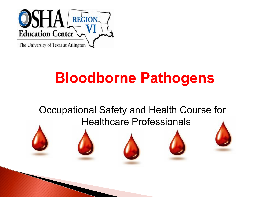

# **Bloodborne Pathogens**

#### Occupational Safety and Health Course for Healthcare Professionals





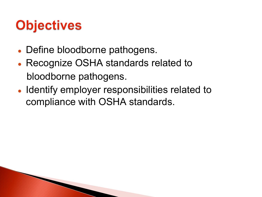# **Objectives**

- Define bloodborne pathogens.
- Recognize OSHA standards related to bloodborne pathogens.
- Identify employer responsibilities related to compliance with OSHA standards.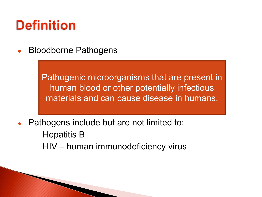## **Definition**

**Bloodborne Pathogens** 

Pathogenic microorganisms that are present in human blood or other potentially infectious materials and can cause disease in humans.

- Pathogens include but are not limited to: Hepatitis B
	- HIV human immunodeficiency virus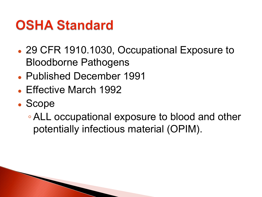## **OSHA Standard**

- 29 CFR 1910.1030, Occupational Exposure to Bloodborne Pathogens
- Published December 1991
- Effective March 1992
- Scope
	- ALL occupational exposure to blood and other potentially infectious material (OPIM).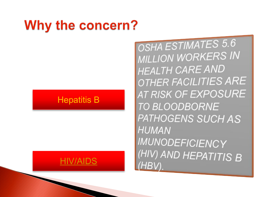## Why the concern?

#### **Hepatitis B**

#### HIV/AIDS

OSHA ESTIMATES 5.6 **MILLION WORKERS IN HEALTH CARE AND** OTHER FACILITIES ARE **AT RISK OF EXPOSURE TO BLOODBORNE** PATHOGENS SUCH AS **HUMAN IMUNODEFICIENCY** (HIV) AND HEPATITIS B  $(HBV)$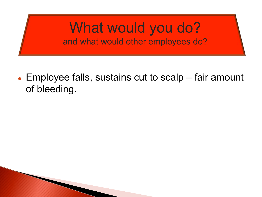#### What would you do? and what would other employees do?

 $\bullet$  Employee falls, sustains cut to scalp – fair amount of bleeding.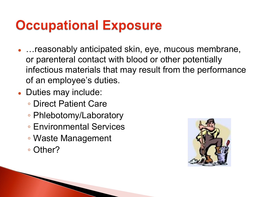## **Occupational Exposure**

- …reasonably anticipated skin, eye, mucous membrane, or parenteral contact with blood or other potentially infectious materials that may result from the performance of an employee's duties.
- Duties may include:
	- Direct Patient Care
	- Phlebotomy/Laboratory
	- Environmental Services
	- Waste Management
	- Other?

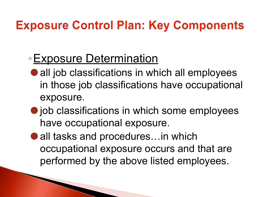### **Exposure Control Plan: Key Components**

### ◦Exposure Determination

- all job classifications in which all employees in those job classifications have occupational exposure.
- job classifications in which some employees have occupational exposure.
- all tasks and procedures…in which occupational exposure occurs and that are performed by the above listed employees.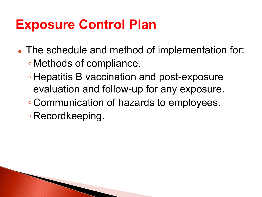### **Exposure Control Plan**

- The schedule and method of implementation for: ◦ Methods of compliance.
	- Hepatitis B vaccination and post-exposure evaluation and follow-up for any exposure.
	- Communication of hazards to employees.

◦ Recordkeeping.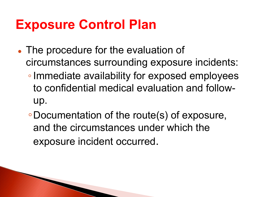### **Exposure Control Plan**

**CONTRACTOR** 

- The procedure for the evaluation of circumstances surrounding exposure incidents: ◦Immediate availability for exposed employees to confidential medical evaluation and followup.
	- ◦Documentation of the route(s) of exposure, and the circumstances under which the exposure incident occurred.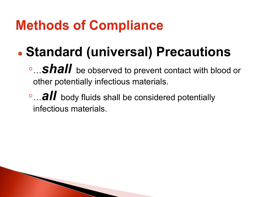## **Methods of Compliance**

**The Comment of Comment Comment Comment Comment Comment Comment Comment Comment Comment Comment Comment Comment** 

# ● **Standard (universal) Precautions**

- ◦…*shall* be observed to prevent contact with blood or other potentially infectious materials.
- ◦…*all* body fluids shall be considered potentially infectious materials.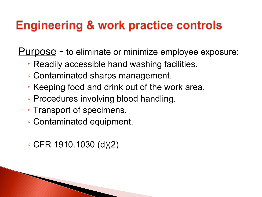#### **Engineering & work practice controls**

Purpose - to eliminate or minimize employee exposure:

- Readily accessible hand washing facilities.
- Contaminated sharps management.
- Keeping food and drink out of the work area.
- Procedures involving blood handling.
- Transport of specimens.
- Contaminated equipment.

◦ CFR 1910.1030 (d)(2)

**REAL PROPERTY**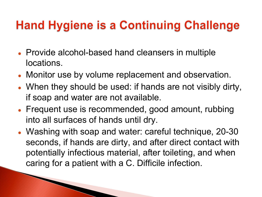### **Hand Hygiene is a Continuing Challenge**

- Provide alcohol-based hand cleansers in multiple locations.
- Monitor use by volume replacement and observation.
- When they should be used: if hands are not visibly dirty, if soap and water are not available.
- Frequent use is recommended, good amount, rubbing into all surfaces of hands until dry.
- Washing with soap and water: careful technique, 20-30 seconds, if hands are dirty, and after direct contact with potentially infectious material, after toileting, and when caring for a patient with a C. Difficile infection.

PARTIES AND RESIDENCE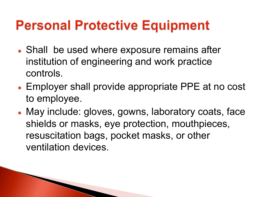## **Personal Protective Equipment**

- Shall be used where exposure remains after institution of engineering and work practice controls.
- Employer shall provide appropriate PPE at no cost to employee.
- May include: gloves, gowns, laboratory coats, face shields or masks, eye protection, mouthpieces, resuscitation bags, pocket masks, or other ventilation devices.

**The Comment of Comment Comment Comment Comment Comment Comment Comment Comment Comment Comment Comment Comment**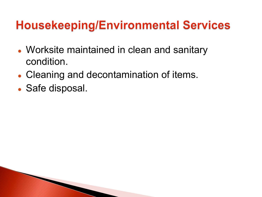#### **Housekeeping/Environmental Services**

- Worksite maintained in clean and sanitary condition.
- Cleaning and decontamination of items.
- Safe disposal.

**CONTRACTOR**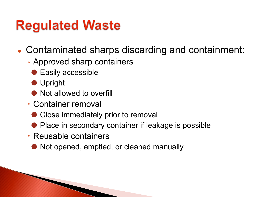## **Regulated Waste**

- Contaminated sharps discarding and containment:
	- Approved sharp containers
		- Easily accessible
		- ⚫ Upright
		- Not allowed to overfill
	- Container removal
		- Close immediately prior to removal
		- Place in secondary container if leakage is possible
	- Reusable containers

**The Comment of Comment Comment Comment Comment Comment Comment Comment Comment Comment Comment Comment Comment** 

● Not opened, emptied, or cleaned manually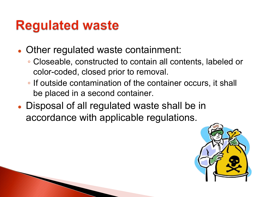## **Regulated waste**

- Other regulated waste containment:
	- Closeable, constructed to contain all contents, labeled or color-coded, closed prior to removal.
	- If outside contamination of the container occurs, it shall be placed in a second container.
- Disposal of all regulated waste shall be in accordance with applicable regulations.

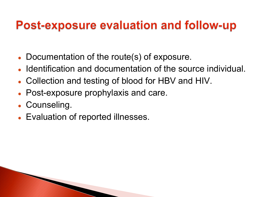#### **Post-exposure evaluation and follow-up**

- Documentation of the route(s) of exposure.
- Identification and documentation of the source individual.
- Collection and testing of blood for HBV and HIV.
- Post-exposure prophylaxis and care.
- Counseling.
- Evaluation of reported illnesses.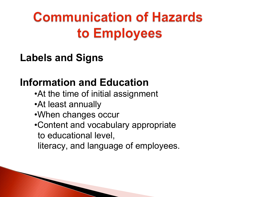# **Communication of Hazards** to Employees

**Labels and Signs**

#### **Information and Education**

- •At the time of initial assignment
- •At least annually

- •When changes occur
- •Content and vocabulary appropriate to educational level,
	- literacy, and language of employees.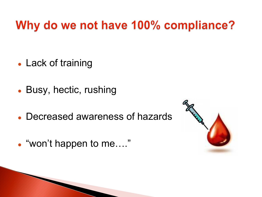#### Why do we not have 100% compliance?

- Lack of training
- Busy, hectic, rushing
- Decreased awareness of hazards
- "won't happen to me...."

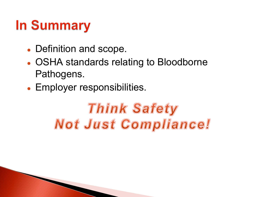# **In Summary**

- Definition and scope.
- OSHA standards relating to Bloodborne Pathogens.
- Employer responsibilities.

# **Think Safety Not Just Compliance!**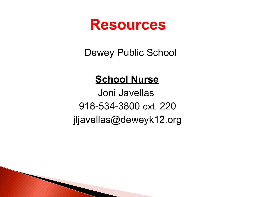

Dewey Public School

#### **School Nurse**

 Joni Javellas 918-534-3800 ext. 220 jljavellas@deweyk12.org